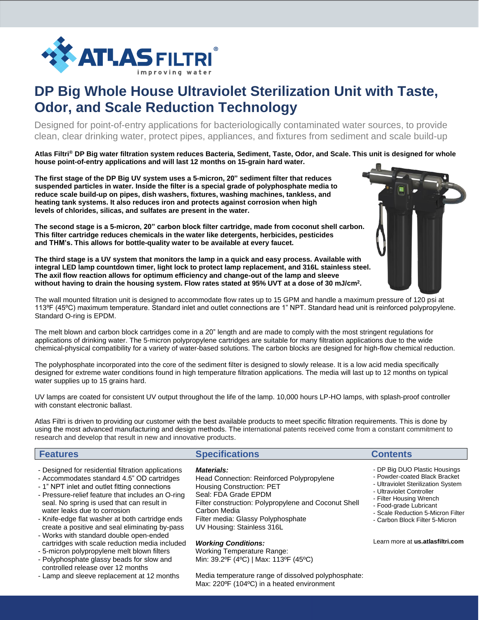

# **DP Big Whole House Ultraviolet Sterilization Unit with Taste, Odor, and Scale Reduction Technology**

Designed for point-of-entry applications for bacteriologically contaminated water sources, to provide clean, clear drinking water, protect pipes, appliances, and fixtures from sediment and scale build-up

**Atlas Filtri® DP Big water filtration system reduces Bacteria, Sediment, Taste, Odor, and Scale. This unit is designed for whole house point-of-entry applications and will last 12 months on 15-grain hard water.**

**The first stage of the DP Big UV system uses a 5-micron, 20" sediment filter that reduces suspended particles in water. Inside the filter is a special grade of polyphosphate media to reduce scale build-up on pipes, dish washers, fixtures, washing machines, tankless, and heating tank systems. It also reduces iron and protects against corrosion when high levels of chlorides, silicas, and sulfates are present in the water.**

**The second stage is a 5-micron, 20" carbon block filter cartridge, made from coconut shell carbon. This filter cartridge reduces chemicals in the water like detergents, herbicides, pesticides and THM's. This allows for bottle-quality water to be available at every faucet.**

**The third stage is a UV system that monitors the lamp in a quick and easy process. Available with integral LED lamp countdown timer, light lock to protect lamp replacement, and 316L stainless steel. The axil flow reaction allows for optimum efficiency and change-out of the lamp and sleeve without having to drain the housing system. Flow rates stated at 95% UVT at a dose of 30 mJ/cm<sup>2</sup> .** 

The wall mounted filtration unit is designed to accommodate flow rates up to 15 GPM and handle a maximum pressure of 120 psi at 113ºF (45ºC) maximum temperature. Standard inlet and outlet connections are 1" NPT. Standard head unit is reinforced polypropylene. Standard O-ring is EPDM.

The melt blown and carbon block cartridges come in a 20" length and are made to comply with the most stringent regulations for applications of drinking water. The 5-micron polypropylene cartridges are suitable for many filtration applications due to the wide chemical-physical compatibility for a variety of water-based solutions. The carbon blocks are designed for high-flow chemical reduction.

The polyphosphate incorporated into the core of the sediment filter is designed to slowly release. It is a low acid media specifically designed for extreme water conditions found in high temperature filtration applications. The media will last up to 12 months on typical water supplies up to 15 grains hard.

UV lamps are coated for consistent UV output throughout the life of the lamp. 10,000 hours LP-HO lamps, with splash-proof controller with constant electronic ballast.

Atlas Filtri is driven to providing our customer with the best available products to meet specific filtration requirements. This is done by using the most advanced manufacturing and design methods. The international patents received come from a constant commitment to research and develop that result in new and innovative products.

## **Features Contents Contents Contents Contents**

- Designed for residential filtration applications
- Accommodates standard 4.5" OD cartridges
- 1" NPT inlet and outlet fitting connections
- Pressure-relief feature that includes an O-ring seal. No spring is used that can result in water leaks due to corrosion
- Knife-edge flat washer at both cartridge ends create a positive and seal eliminating by-pass
- Works with standard double open-ended cartridges with scale reduction media included
- 5-micron polypropylene melt blown filters - Polyphosphate glassy beads for slow and
- controlled release over 12 months
- Lamp and sleeve replacement at 12 months

#### *Materials:*

Head Connection: Reinforced Polypropylene Housing Construction: PET Seal: FDA Grade EPDM Filter construction: Polypropylene and Coconut Shell Carbon Media Filter media: Glassy Polyphosphate UV Housing: Stainless 316L

*Working Conditions:* Working Temperature Range: Min: 39.2ºF (4ºC) | Max: 113ºF (45ºC)

Media temperature range of dissolved polyphosphate: Max: 220ºF (104ºC) in a heated environment



- DP Big DUO Plastic Housings
- Powder-coated Black Bracket
- Ultraviolet Sterilization System
- Ultraviolet Controller
- Filter Housing Wrench
- Food-grade Lubricant
- Scale Reduction 5-Micron Filter
- Carbon Block Filter 5-Micron

Learn more at **us.atlasfiltri.com**